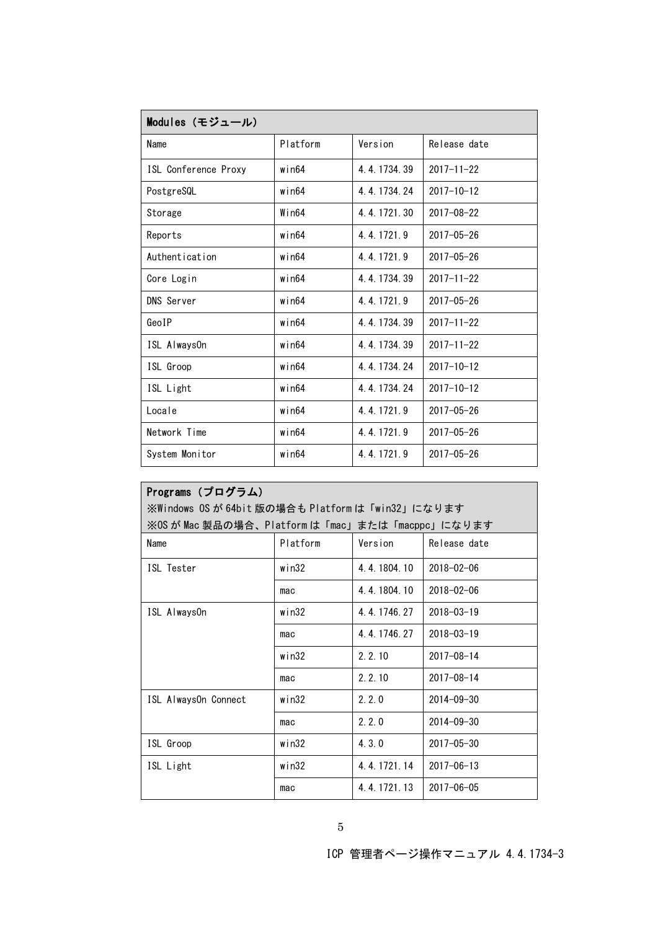| Modules (モジュール)      |             |             |                  |
|----------------------|-------------|-------------|------------------|
| Name                 | Platform    | Version     | Release date     |
| ISL Conference Proxy | $w$ in $64$ | 4.4.1734.39 | $2017 - 11 - 22$ |
| PostgreSQL           | $w$ in $64$ | 4.4.1734.24 | $2017 - 10 - 12$ |
| Storage              | $Wi$ n64    | 4.4.1721.30 | $2017 - 08 - 22$ |
| Reports              | $w$ in $64$ | 4 4 1721 9  | $2017 - 05 - 26$ |
| Authentication       | $w$ in $64$ | 4.4.1721.9  | $2017 - 05 - 26$ |
| Core Login           | $w$ in $64$ | 4.4.1734.39 | $2017 - 11 - 22$ |
| <b>DNS Server</b>    | $w$ in $64$ | 4.4.1721.9  | $2017 - 05 - 26$ |
| GeoIP                | win64       | 4.4.1734.39 | $2017 - 11 - 22$ |
| ISL AlwaysOn         | $w$ in $64$ | 4.4.1734.39 | $2017 - 11 - 22$ |
| ISL Groop            | $w$ in $64$ | 4.4.1734.24 | $2017 - 10 - 12$ |
| ISL Light            | $w$ in $64$ | 4.4.1734.24 | $2017 - 10 - 12$ |
| Locale               | $w$ in $64$ | 4.4.1721.9  | $2017 - 05 - 26$ |
| Network Time         | $w$ in $64$ | 4 4 1721 9  | $2017 - 05 - 26$ |
| System Monitor       | $w$ in $64$ | 4.4.1721.9  | $2017 - 05 - 26$ |

| Programs (プログラム)                                |          |             |                  |
|-------------------------------------------------|----------|-------------|------------------|
| ※Windows OS が 64bit 版の場合も Platformは「win32」になります |          |             |                  |
| ※OS が Mac 製品の場合、Platform は「mac」または「macppc」になります |          |             |                  |
| Name                                            | Platform | Version     | Release date     |
| ISI Tester                                      | win $32$ | 4.4.1804.10 | $2018 - 02 - 06$ |
|                                                 | mac      | 4.4.1804.10 | $2018 - 02 - 06$ |
| ISL AlwaysOn                                    | win32    | 4 4 1746 27 | $2018 - 03 - 19$ |
|                                                 | mac      | 4.4.1746.27 | $2018 - 03 - 19$ |
|                                                 | win32    | 2.2.10      | $2017 - 08 - 14$ |
|                                                 | mac      | 2.2.10      | $2017 - 08 - 14$ |
| ISL AlwaysOn Connect                            | win32    | 2.2.0       | $2014 - 09 - 30$ |
|                                                 | mac      | 2.2.0       | $2014 - 09 - 30$ |
| ISL Groop                                       | win32    | 4.3.0       | $2017 - 05 - 30$ |
| ISL Light                                       | win32    | 4.4.1721.14 | $2017 - 06 - 13$ |
|                                                 | mac      | 4.4.1721.13 | $2017 - 06 - 05$ |

ICP 管理者ページ操作マニュアル 4.4.1734-3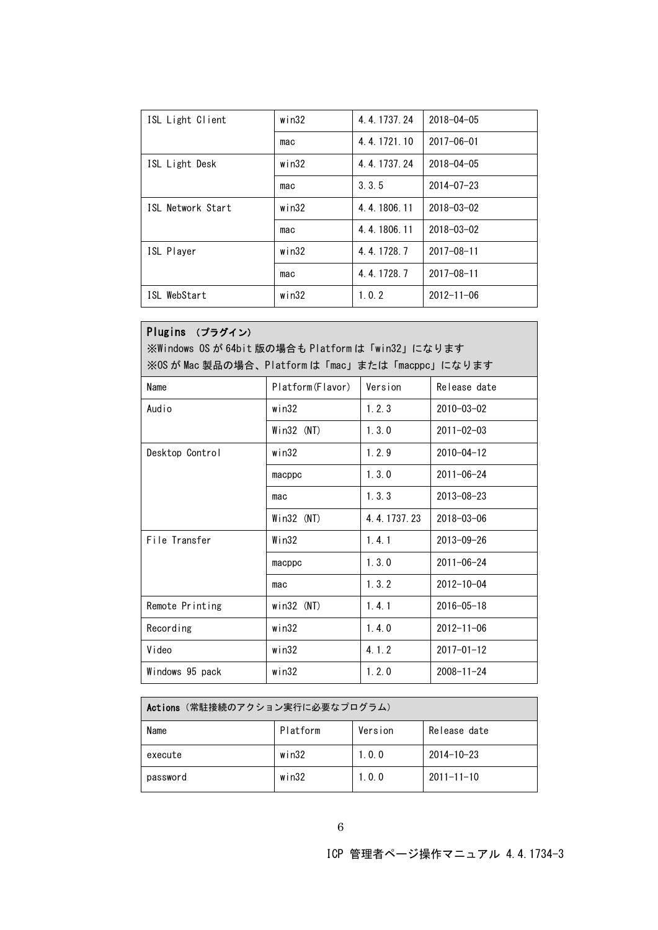| ISL Light Client  | win32       | 4.4.1737.24 | $2018 - 04 - 05$ |
|-------------------|-------------|-------------|------------------|
|                   | mac         | 4.4.1721.10 | $2017 - 06 - 01$ |
| ISL Light Desk    | win32       | 4.4.1737.24 | $2018 - 04 - 05$ |
|                   | mac         | 3.3.5       | $2014 - 07 - 23$ |
| ISL Network Start | $w$ in $32$ | 4.4.1806.11 | $2018 - 03 - 02$ |
|                   | mac         | 4.4.1806.11 | $2018 - 03 - 02$ |
| ISL Player        | win32       | 4.4.1728.7  | $2017 - 08 - 11$ |
|                   | mac         | 4.4.1728.7  | $2017 - 08 - 11$ |
| ISL WebStart      | win32       | 1.0.2       | $2012 - 11 - 06$ |

| Plugins (プラグイン)<br>※Windows OS が 64bit 版の場合も Platformは「win32」になります<br>※OS が Mac 製品の場合、Platform は「mac」または「macppc」になります |                  |             |                  |
|-----------------------------------------------------------------------------------------------------------------------|------------------|-------------|------------------|
| Name                                                                                                                  | Platform(Flavor) | Version     | Release date     |
| Audio                                                                                                                 | win32            | 1, 2, 3     | $2010 - 03 - 02$ |
|                                                                                                                       | $Win32$ (NT)     | 1, 3, 0     | $2011 - 02 - 03$ |
| Desktop Control                                                                                                       | win32            | 1.2.9       | $2010 - 04 - 12$ |
|                                                                                                                       | macppc           | 1, 3, 0     | $2011 - 06 - 24$ |
|                                                                                                                       | mac              | 1, 3, 3     | $2013 - 08 - 23$ |
|                                                                                                                       | $Win32$ (NT)     | 4.4.1737.23 | $2018 - 03 - 06$ |
| File Transfer                                                                                                         | $W$ in32         | 1.4.1       | $2013 - 09 - 26$ |
|                                                                                                                       | macppc           | 1, 3, 0     | $2011 - 06 - 24$ |
|                                                                                                                       | mac              | 1, 3, 2     | $2012 - 10 - 04$ |
| Remote Printing                                                                                                       | $win32$ (NT)     | 1.4.1       | $2016 - 05 - 18$ |
| Recording                                                                                                             | win32            | 1.4.0       | $2012 - 11 - 06$ |
| Video                                                                                                                 | win32            | 4.1.2       | $2017 - 01 - 12$ |
| Windows 95 pack                                                                                                       | win32            | 1, 2, 0     | $2008 - 11 - 24$ |

| Actions (常駐接続のアクション実行に必要なプログラム) |          |         |                  |
|---------------------------------|----------|---------|------------------|
| Name                            | Platform | Version | Release date     |
| execute                         | win32    | 1, 0, 0 | $2014 - 10 - 23$ |
| password                        | win32    | 1.0.0   | $2011 - 11 - 10$ |

ICP 管理者ページ操作マニュアル 4.4.1734-3